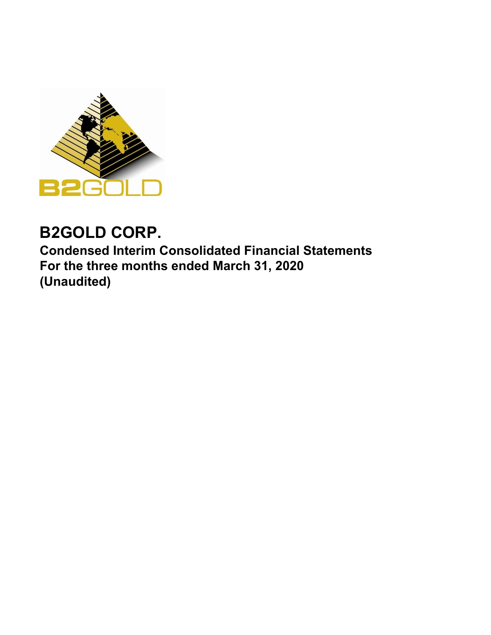

# **B2GOLD CORP.**

**Condensed Interim Consolidated Financial Statements For the three months ended March 31, 2020 (Unaudited)**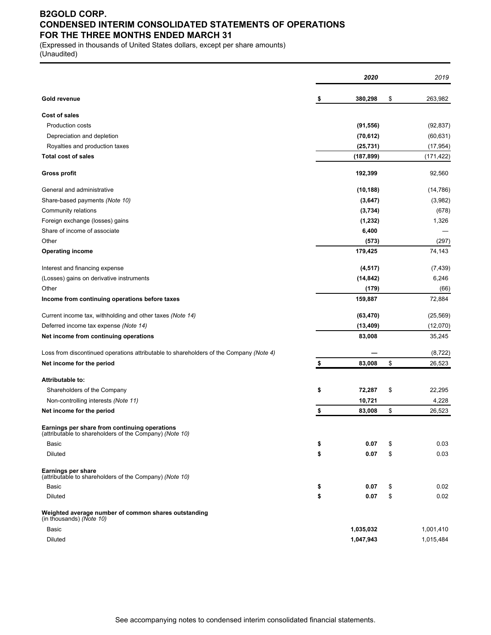# **B2GOLD CORP. CONDENSED INTERIM CONSOLIDATED STATEMENTS OF OPERATIONS FOR THE THREE MONTHS ENDED MARCH 31**

(Expressed in thousands of United States dollars, except per share amounts) (Unaudited)

|                                                                                                          | 2020          | 2019          |
|----------------------------------------------------------------------------------------------------------|---------------|---------------|
| <b>Gold revenue</b>                                                                                      | \$<br>380,298 | \$<br>263,982 |
| Cost of sales                                                                                            |               |               |
| <b>Production costs</b>                                                                                  | (91, 556)     | (92, 837)     |
| Depreciation and depletion                                                                               | (70, 612)     | (60, 631)     |
| Royalties and production taxes                                                                           | (25, 731)     | (17, 954)     |
| <b>Total cost of sales</b>                                                                               | (187,899)     | (171, 422)    |
| Gross profit                                                                                             | 192,399       | 92,560        |
| General and administrative                                                                               | (10, 188)     | (14, 786)     |
| Share-based payments (Note 10)                                                                           | (3, 647)      | (3,982)       |
| Community relations                                                                                      | (3,734)       | (678)         |
| Foreign exchange (losses) gains                                                                          | (1, 232)      | 1,326         |
| Share of income of associate                                                                             | 6,400         |               |
| Other                                                                                                    | (573)         | (297)         |
| <b>Operating income</b>                                                                                  | 179,425       | 74,143        |
| Interest and financing expense                                                                           | (4, 517)      | (7, 439)      |
| (Losses) gains on derivative instruments                                                                 | (14, 842)     | 6,246         |
| Other                                                                                                    | (179)         | (66)          |
| Income from continuing operations before taxes                                                           | 159,887       | 72,884        |
| Current income tax, withholding and other taxes (Note 14)                                                | (63, 470)     | (25, 569)     |
| Deferred income tax expense (Note 14)                                                                    | (13, 409)     | (12,070)      |
| Net income from continuing operations                                                                    | 83,008        | 35,245        |
| Loss from discontinued operations attributable to shareholders of the Company (Note 4)                   |               | (8, 722)      |
| Net income for the period                                                                                | \$<br>83,008  | \$<br>26,523  |
| <b>Attributable to:</b>                                                                                  |               |               |
| Shareholders of the Company                                                                              | \$<br>72,287  | \$<br>22,295  |
| Non-controlling interests (Note 11)                                                                      | 10,721        | 4,228         |
| Net income for the period                                                                                | \$<br>83,008  | \$<br>26,523  |
| Earnings per share from continuing operations<br>(attributable to shareholders of the Company) (Note 10) |               |               |
| Basic                                                                                                    | \$<br>0.07    | \$<br>0.03    |
| <b>Diluted</b>                                                                                           | \$<br>0.07    | \$<br>0.03    |
| Earnings per share<br>(attributable to shareholders of the Company) (Note 10)                            |               |               |
| Basic                                                                                                    | \$<br>0.07    | \$<br>0.02    |
| Diluted                                                                                                  | \$<br>0.07    | \$<br>0.02    |
| Weighted average number of common shares outstanding<br>(in thousands) (Note 10)                         |               |               |
| Basic                                                                                                    | 1,035,032     | 1,001,410     |
| <b>Diluted</b>                                                                                           | 1,047,943     | 1,015,484     |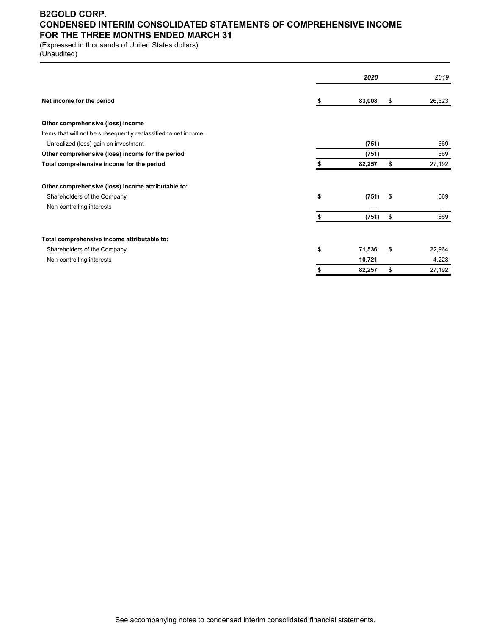### **B2GOLD CORP. CONDENSED INTERIM CONSOLIDATED STATEMENTS OF COMPREHENSIVE INCOME FOR THE THREE MONTHS ENDED MARCH 31**

(Expressed in thousands of United States dollars)

(Unaudited)

|                                                                 |    | 2020   | 2019         |
|-----------------------------------------------------------------|----|--------|--------------|
| Net income for the period                                       | S  | 83,008 | \$<br>26,523 |
| Other comprehensive (loss) income                               |    |        |              |
| Items that will not be subsequently reclassified to net income: |    |        |              |
| Unrealized (loss) gain on investment                            |    | (751)  | 669          |
| Other comprehensive (loss) income for the period                |    | (751)  | 669          |
| Total comprehensive income for the period                       |    | 82,257 | \$<br>27,192 |
| Other comprehensive (loss) income attributable to:              |    |        |              |
| Shareholders of the Company                                     | \$ | (751)  | \$<br>669    |
| Non-controlling interests                                       |    |        |              |
|                                                                 | \$ | (751)  | \$<br>669    |
| Total comprehensive income attributable to:                     |    |        |              |
| Shareholders of the Company                                     | \$ | 71,536 | \$<br>22,964 |
| Non-controlling interests                                       |    | 10,721 | 4,228        |
|                                                                 | \$ | 82,257 | \$<br>27,192 |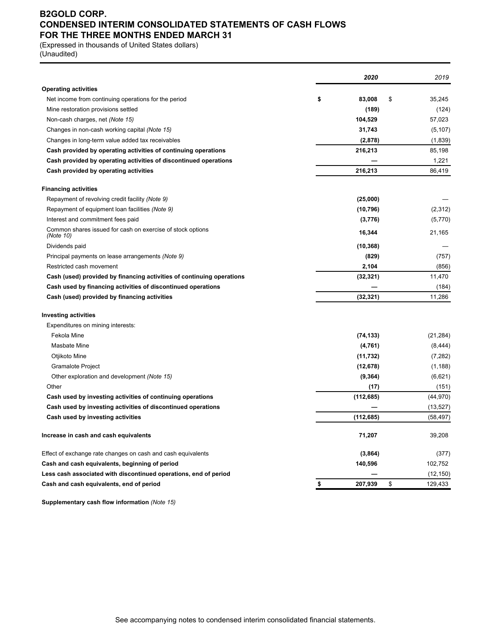### **B2GOLD CORP. CONDENSED INTERIM CONSOLIDATED STATEMENTS OF CASH FLOWS FOR THE THREE MONTHS ENDED MARCH 31**

(Expressed in thousands of United States dollars)

(Unaudited)

| <b>Operating activities</b><br>\$<br>\$<br>83,008<br>Net income from continuing operations for the period<br>(189)<br>Mine restoration provisions settled<br>Non-cash charges, net (Note 15)<br>104,529<br>Changes in non-cash working capital (Note 15)<br>31,743<br>Changes in long-term value added tax receivables<br>(2,878)<br>216,213<br>Cash provided by operating activities of continuing operations<br>Cash provided by operating activities of discontinued operations<br>216,213<br>Cash provided by operating activities<br><b>Financing activities</b><br>(25,000)<br>Repayment of revolving credit facility (Note 9)<br>Repayment of equipment loan facilities (Note 9)<br>(10, 796)<br>Interest and commitment fees paid<br>(3,776)<br>Common shares issued for cash on exercise of stock options<br>16,344<br>(Note 10)<br>Dividends paid<br>(10, 368)<br>(829)<br>Principal payments on lease arrangements (Note 9)<br>2,104<br>Restricted cash movement<br>Cash (used) provided by financing activities of continuing operations<br>(32, 321)<br>Cash used by financing activities of discontinued operations<br>Cash (used) provided by financing activities<br>(32, 321)<br><b>Investing activities</b><br>Expenditures on mining interests:<br>Fekola Mine<br>(74, 133)<br>Masbate Mine<br>(4, 761)<br>Otjikoto Mine<br>(11, 732)<br><b>Gramalote Project</b><br>(12, 678)<br>Other exploration and development (Note 15)<br>(9, 364)<br>Other<br>(17)<br>Cash used by investing activities of continuing operations<br>(112, 685)<br>Cash used by investing activities of discontinued operations<br>(112,685)<br>Cash used by investing activities<br>Increase in cash and cash equivalents<br>71,207<br>Effect of exchange rate changes on cash and cash equivalents<br>(3,864)<br>Cash and cash equivalents, beginning of period<br>140,596<br>Less cash associated with discontinued operations, end of period<br>\$<br>Cash and cash equivalents, end of period<br>\$<br>207,939 |  | 2020 | 2019      |
|---------------------------------------------------------------------------------------------------------------------------------------------------------------------------------------------------------------------------------------------------------------------------------------------------------------------------------------------------------------------------------------------------------------------------------------------------------------------------------------------------------------------------------------------------------------------------------------------------------------------------------------------------------------------------------------------------------------------------------------------------------------------------------------------------------------------------------------------------------------------------------------------------------------------------------------------------------------------------------------------------------------------------------------------------------------------------------------------------------------------------------------------------------------------------------------------------------------------------------------------------------------------------------------------------------------------------------------------------------------------------------------------------------------------------------------------------------------------------------------------------------------------------------------------------------------------------------------------------------------------------------------------------------------------------------------------------------------------------------------------------------------------------------------------------------------------------------------------------------------------------------------------------------------------------------------------------------------------------------------------------------------|--|------|-----------|
|                                                                                                                                                                                                                                                                                                                                                                                                                                                                                                                                                                                                                                                                                                                                                                                                                                                                                                                                                                                                                                                                                                                                                                                                                                                                                                                                                                                                                                                                                                                                                                                                                                                                                                                                                                                                                                                                                                                                                                                                               |  |      |           |
|                                                                                                                                                                                                                                                                                                                                                                                                                                                                                                                                                                                                                                                                                                                                                                                                                                                                                                                                                                                                                                                                                                                                                                                                                                                                                                                                                                                                                                                                                                                                                                                                                                                                                                                                                                                                                                                                                                                                                                                                               |  |      | 35,245    |
|                                                                                                                                                                                                                                                                                                                                                                                                                                                                                                                                                                                                                                                                                                                                                                                                                                                                                                                                                                                                                                                                                                                                                                                                                                                                                                                                                                                                                                                                                                                                                                                                                                                                                                                                                                                                                                                                                                                                                                                                               |  |      | (124)     |
|                                                                                                                                                                                                                                                                                                                                                                                                                                                                                                                                                                                                                                                                                                                                                                                                                                                                                                                                                                                                                                                                                                                                                                                                                                                                                                                                                                                                                                                                                                                                                                                                                                                                                                                                                                                                                                                                                                                                                                                                               |  |      | 57,023    |
|                                                                                                                                                                                                                                                                                                                                                                                                                                                                                                                                                                                                                                                                                                                                                                                                                                                                                                                                                                                                                                                                                                                                                                                                                                                                                                                                                                                                                                                                                                                                                                                                                                                                                                                                                                                                                                                                                                                                                                                                               |  |      | (5, 107)  |
|                                                                                                                                                                                                                                                                                                                                                                                                                                                                                                                                                                                                                                                                                                                                                                                                                                                                                                                                                                                                                                                                                                                                                                                                                                                                                                                                                                                                                                                                                                                                                                                                                                                                                                                                                                                                                                                                                                                                                                                                               |  |      | (1,839)   |
|                                                                                                                                                                                                                                                                                                                                                                                                                                                                                                                                                                                                                                                                                                                                                                                                                                                                                                                                                                                                                                                                                                                                                                                                                                                                                                                                                                                                                                                                                                                                                                                                                                                                                                                                                                                                                                                                                                                                                                                                               |  |      | 85,198    |
|                                                                                                                                                                                                                                                                                                                                                                                                                                                                                                                                                                                                                                                                                                                                                                                                                                                                                                                                                                                                                                                                                                                                                                                                                                                                                                                                                                                                                                                                                                                                                                                                                                                                                                                                                                                                                                                                                                                                                                                                               |  |      | 1,221     |
|                                                                                                                                                                                                                                                                                                                                                                                                                                                                                                                                                                                                                                                                                                                                                                                                                                                                                                                                                                                                                                                                                                                                                                                                                                                                                                                                                                                                                                                                                                                                                                                                                                                                                                                                                                                                                                                                                                                                                                                                               |  |      | 86,419    |
|                                                                                                                                                                                                                                                                                                                                                                                                                                                                                                                                                                                                                                                                                                                                                                                                                                                                                                                                                                                                                                                                                                                                                                                                                                                                                                                                                                                                                                                                                                                                                                                                                                                                                                                                                                                                                                                                                                                                                                                                               |  |      |           |
|                                                                                                                                                                                                                                                                                                                                                                                                                                                                                                                                                                                                                                                                                                                                                                                                                                                                                                                                                                                                                                                                                                                                                                                                                                                                                                                                                                                                                                                                                                                                                                                                                                                                                                                                                                                                                                                                                                                                                                                                               |  |      |           |
|                                                                                                                                                                                                                                                                                                                                                                                                                                                                                                                                                                                                                                                                                                                                                                                                                                                                                                                                                                                                                                                                                                                                                                                                                                                                                                                                                                                                                                                                                                                                                                                                                                                                                                                                                                                                                                                                                                                                                                                                               |  |      | (2,312)   |
|                                                                                                                                                                                                                                                                                                                                                                                                                                                                                                                                                                                                                                                                                                                                                                                                                                                                                                                                                                                                                                                                                                                                                                                                                                                                                                                                                                                                                                                                                                                                                                                                                                                                                                                                                                                                                                                                                                                                                                                                               |  |      | (5,770)   |
|                                                                                                                                                                                                                                                                                                                                                                                                                                                                                                                                                                                                                                                                                                                                                                                                                                                                                                                                                                                                                                                                                                                                                                                                                                                                                                                                                                                                                                                                                                                                                                                                                                                                                                                                                                                                                                                                                                                                                                                                               |  |      | 21,165    |
|                                                                                                                                                                                                                                                                                                                                                                                                                                                                                                                                                                                                                                                                                                                                                                                                                                                                                                                                                                                                                                                                                                                                                                                                                                                                                                                                                                                                                                                                                                                                                                                                                                                                                                                                                                                                                                                                                                                                                                                                               |  |      |           |
|                                                                                                                                                                                                                                                                                                                                                                                                                                                                                                                                                                                                                                                                                                                                                                                                                                                                                                                                                                                                                                                                                                                                                                                                                                                                                                                                                                                                                                                                                                                                                                                                                                                                                                                                                                                                                                                                                                                                                                                                               |  |      | (757)     |
|                                                                                                                                                                                                                                                                                                                                                                                                                                                                                                                                                                                                                                                                                                                                                                                                                                                                                                                                                                                                                                                                                                                                                                                                                                                                                                                                                                                                                                                                                                                                                                                                                                                                                                                                                                                                                                                                                                                                                                                                               |  |      | (856)     |
|                                                                                                                                                                                                                                                                                                                                                                                                                                                                                                                                                                                                                                                                                                                                                                                                                                                                                                                                                                                                                                                                                                                                                                                                                                                                                                                                                                                                                                                                                                                                                                                                                                                                                                                                                                                                                                                                                                                                                                                                               |  |      | 11,470    |
|                                                                                                                                                                                                                                                                                                                                                                                                                                                                                                                                                                                                                                                                                                                                                                                                                                                                                                                                                                                                                                                                                                                                                                                                                                                                                                                                                                                                                                                                                                                                                                                                                                                                                                                                                                                                                                                                                                                                                                                                               |  |      | (184)     |
|                                                                                                                                                                                                                                                                                                                                                                                                                                                                                                                                                                                                                                                                                                                                                                                                                                                                                                                                                                                                                                                                                                                                                                                                                                                                                                                                                                                                                                                                                                                                                                                                                                                                                                                                                                                                                                                                                                                                                                                                               |  |      | 11,286    |
|                                                                                                                                                                                                                                                                                                                                                                                                                                                                                                                                                                                                                                                                                                                                                                                                                                                                                                                                                                                                                                                                                                                                                                                                                                                                                                                                                                                                                                                                                                                                                                                                                                                                                                                                                                                                                                                                                                                                                                                                               |  |      |           |
|                                                                                                                                                                                                                                                                                                                                                                                                                                                                                                                                                                                                                                                                                                                                                                                                                                                                                                                                                                                                                                                                                                                                                                                                                                                                                                                                                                                                                                                                                                                                                                                                                                                                                                                                                                                                                                                                                                                                                                                                               |  |      |           |
|                                                                                                                                                                                                                                                                                                                                                                                                                                                                                                                                                                                                                                                                                                                                                                                                                                                                                                                                                                                                                                                                                                                                                                                                                                                                                                                                                                                                                                                                                                                                                                                                                                                                                                                                                                                                                                                                                                                                                                                                               |  |      | (21, 284) |
|                                                                                                                                                                                                                                                                                                                                                                                                                                                                                                                                                                                                                                                                                                                                                                                                                                                                                                                                                                                                                                                                                                                                                                                                                                                                                                                                                                                                                                                                                                                                                                                                                                                                                                                                                                                                                                                                                                                                                                                                               |  |      | (8, 444)  |
|                                                                                                                                                                                                                                                                                                                                                                                                                                                                                                                                                                                                                                                                                                                                                                                                                                                                                                                                                                                                                                                                                                                                                                                                                                                                                                                                                                                                                                                                                                                                                                                                                                                                                                                                                                                                                                                                                                                                                                                                               |  |      | (7, 282)  |
|                                                                                                                                                                                                                                                                                                                                                                                                                                                                                                                                                                                                                                                                                                                                                                                                                                                                                                                                                                                                                                                                                                                                                                                                                                                                                                                                                                                                                                                                                                                                                                                                                                                                                                                                                                                                                                                                                                                                                                                                               |  |      | (1, 188)  |
|                                                                                                                                                                                                                                                                                                                                                                                                                                                                                                                                                                                                                                                                                                                                                                                                                                                                                                                                                                                                                                                                                                                                                                                                                                                                                                                                                                                                                                                                                                                                                                                                                                                                                                                                                                                                                                                                                                                                                                                                               |  |      | (6,621)   |
|                                                                                                                                                                                                                                                                                                                                                                                                                                                                                                                                                                                                                                                                                                                                                                                                                                                                                                                                                                                                                                                                                                                                                                                                                                                                                                                                                                                                                                                                                                                                                                                                                                                                                                                                                                                                                                                                                                                                                                                                               |  |      | (151)     |
|                                                                                                                                                                                                                                                                                                                                                                                                                                                                                                                                                                                                                                                                                                                                                                                                                                                                                                                                                                                                                                                                                                                                                                                                                                                                                                                                                                                                                                                                                                                                                                                                                                                                                                                                                                                                                                                                                                                                                                                                               |  |      | (44, 970) |
|                                                                                                                                                                                                                                                                                                                                                                                                                                                                                                                                                                                                                                                                                                                                                                                                                                                                                                                                                                                                                                                                                                                                                                                                                                                                                                                                                                                                                                                                                                                                                                                                                                                                                                                                                                                                                                                                                                                                                                                                               |  |      | (13, 527) |
|                                                                                                                                                                                                                                                                                                                                                                                                                                                                                                                                                                                                                                                                                                                                                                                                                                                                                                                                                                                                                                                                                                                                                                                                                                                                                                                                                                                                                                                                                                                                                                                                                                                                                                                                                                                                                                                                                                                                                                                                               |  |      | (58, 497) |
|                                                                                                                                                                                                                                                                                                                                                                                                                                                                                                                                                                                                                                                                                                                                                                                                                                                                                                                                                                                                                                                                                                                                                                                                                                                                                                                                                                                                                                                                                                                                                                                                                                                                                                                                                                                                                                                                                                                                                                                                               |  |      | 39,208    |
|                                                                                                                                                                                                                                                                                                                                                                                                                                                                                                                                                                                                                                                                                                                                                                                                                                                                                                                                                                                                                                                                                                                                                                                                                                                                                                                                                                                                                                                                                                                                                                                                                                                                                                                                                                                                                                                                                                                                                                                                               |  |      | (377)     |
|                                                                                                                                                                                                                                                                                                                                                                                                                                                                                                                                                                                                                                                                                                                                                                                                                                                                                                                                                                                                                                                                                                                                                                                                                                                                                                                                                                                                                                                                                                                                                                                                                                                                                                                                                                                                                                                                                                                                                                                                               |  |      | 102,752   |
|                                                                                                                                                                                                                                                                                                                                                                                                                                                                                                                                                                                                                                                                                                                                                                                                                                                                                                                                                                                                                                                                                                                                                                                                                                                                                                                                                                                                                                                                                                                                                                                                                                                                                                                                                                                                                                                                                                                                                                                                               |  |      | (12, 150) |
|                                                                                                                                                                                                                                                                                                                                                                                                                                                                                                                                                                                                                                                                                                                                                                                                                                                                                                                                                                                                                                                                                                                                                                                                                                                                                                                                                                                                                                                                                                                                                                                                                                                                                                                                                                                                                                                                                                                                                                                                               |  |      | 129,433   |

**Supplementary cash flow information** *(Note 15)*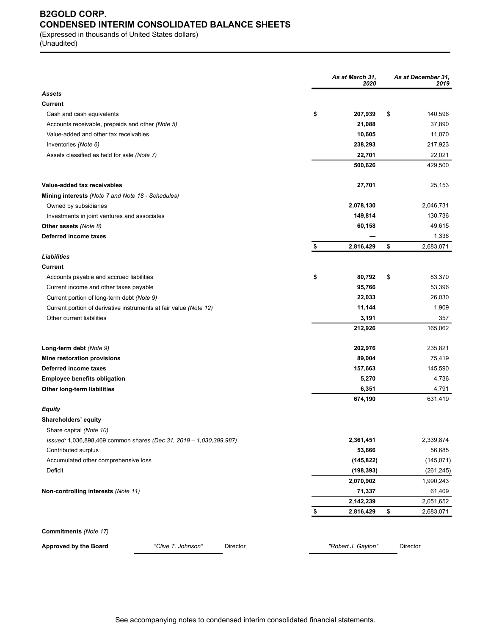# **B2GOLD CORP. CONDENSED INTERIM CONSOLIDATED BALANCE SHEETS**

(Expressed in thousands of United States dollars) (Unaudited)

|                                                                   |                                                                    | As at March 31,<br>2020  | As at December 31,<br>2019 |
|-------------------------------------------------------------------|--------------------------------------------------------------------|--------------------------|----------------------------|
| <b>Assets</b>                                                     |                                                                    |                          |                            |
| Current                                                           |                                                                    |                          |                            |
| Cash and cash equivalents                                         |                                                                    | \$<br>207,939            | \$<br>140,596              |
| Accounts receivable, prepaids and other (Note 5)                  |                                                                    | 21,088                   | 37,890                     |
| Value-added and other tax receivables                             |                                                                    | 10,605                   | 11,070                     |
| Inventories (Note 6)                                              |                                                                    | 238,293                  | 217,923                    |
| Assets classified as held for sale (Note 7)                       |                                                                    | 22,701                   | 22,021                     |
|                                                                   |                                                                    | 500,626                  | 429,500                    |
| Value-added tax receivables                                       |                                                                    | 27,701                   | 25,153                     |
| Mining interests (Note 7 and Note 18 - Schedules)                 |                                                                    |                          |                            |
| Owned by subsidiaries                                             |                                                                    | 2,078,130                | 2,046,731                  |
| Investments in joint ventures and associates                      |                                                                    | 149,814                  | 130,736                    |
| Other assets (Note 8)                                             |                                                                    | 60,158                   | 49,615                     |
| Deferred income taxes                                             |                                                                    |                          | 1,336                      |
|                                                                   |                                                                    | \$<br>2,816,429          | \$<br>2,683,071            |
| Liabilities                                                       |                                                                    |                          |                            |
| Current                                                           |                                                                    |                          |                            |
| Accounts payable and accrued liabilities                          |                                                                    | \$<br>80,792             | \$<br>83,370               |
| Current income and other taxes payable                            |                                                                    | 95,766                   | 53,396                     |
| Current portion of long-term debt (Note 9)                        |                                                                    | 22,033                   | 26,030                     |
| Current portion of derivative instruments at fair value (Note 12) |                                                                    | 11,144                   | 1,909                      |
| Other current liabilities                                         |                                                                    | 3,191                    | 357                        |
|                                                                   |                                                                    | 212,926                  | 165,062                    |
| Long-term debt (Note 9)                                           |                                                                    | 202,976                  | 235,821                    |
| Mine restoration provisions                                       |                                                                    | 89,004                   | 75,419                     |
| Deferred income taxes                                             |                                                                    | 157,663                  | 145,590                    |
| <b>Employee benefits obligation</b>                               |                                                                    | 5,270                    | 4,736                      |
| Other long-term liabilities                                       |                                                                    | 6,351                    | 4,791                      |
|                                                                   |                                                                    | 674,190                  | 631,419                    |
| Equity                                                            |                                                                    |                          |                            |
| Shareholders' equity                                              |                                                                    |                          |                            |
| Share capital (Note 10)                                           |                                                                    |                          |                            |
|                                                                   | Issued: 1,036,898,469 common shares (Dec 31, 2019 - 1,030,399,987) | 2,361,451                | 2,339,874                  |
| Contributed surplus                                               |                                                                    | 53,666                   | 56,685<br>(145, 071)       |
| Accumulated other comprehensive loss<br>Deficit                   |                                                                    | (145, 822)<br>(198, 393) |                            |
|                                                                   |                                                                    | 2,070,902                | (261, 245)<br>1,990,243    |
| Non-controlling interests (Note 11)                               |                                                                    | 71,337                   | 61,409                     |
|                                                                   |                                                                    | 2,142,239                | 2,051,652                  |
|                                                                   |                                                                    | \$<br>2,816,429          | \$<br>2,683,071            |
|                                                                   |                                                                    |                          |                            |
| Commitments (Note 17)                                             |                                                                    |                          |                            |
| <b>Approved by the Board</b>                                      | "Clive T. Johnson"<br>Director                                     | "Robert J. Gayton"       | Director                   |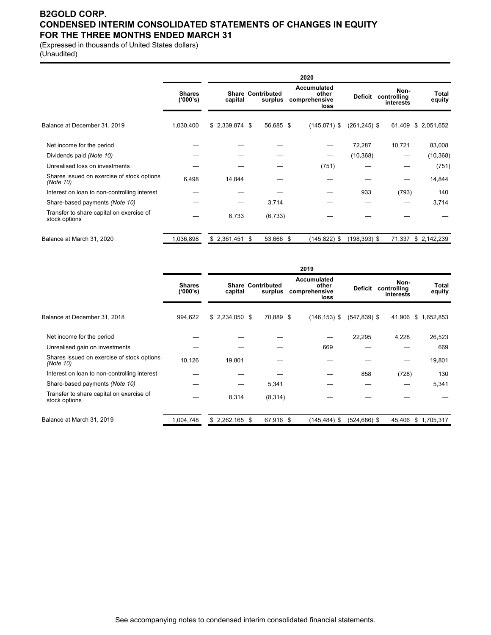### **B2GOLD CORP. CONDENSED INTERIM CONSOLIDATED STATEMENTS OF CHANGES IN EQUITY FOR THE THREE MONTHS ENDED MARCH 31**

(Expressed in thousands of United States dollars) (Unaudited)

|                                                           |                           |                 |                                     | 2020                                          |                 |                                  |                 |
|-----------------------------------------------------------|---------------------------|-----------------|-------------------------------------|-----------------------------------------------|-----------------|----------------------------------|-----------------|
|                                                           | <b>Shares</b><br>('000's) | capital         | <b>Share Contributed</b><br>surplus | Accumulated<br>other<br>comprehensive<br>loss | Deficit         | Non-<br>controlling<br>interests | Total<br>equity |
| Balance at December 31, 2019                              | 1,030,400                 | $$2,339,874$ \$ | 56,685 \$                           | $(145,071)$ \$                                | $(261, 245)$ \$ | 61,409                           | \$2,051,652     |
| Net income for the period                                 |                           |                 |                                     |                                               | 72,287          | 10,721                           | 83,008          |
| Dividends paid (Note 10)                                  |                           |                 |                                     | —                                             | (10, 368)       |                                  | (10, 368)       |
| Unrealised loss on investments                            |                           |                 |                                     | (751)                                         |                 |                                  | (751)           |
| Shares issued on exercise of stock options<br>(Note 10)   | 6,498                     | 14,844          |                                     |                                               |                 |                                  | 14,844          |
| Interest on loan to non-controlling interest              |                           |                 |                                     |                                               | 933             | (793)                            | 140             |
| Share-based payments (Note 10)                            |                           |                 | 3,714                               |                                               |                 |                                  | 3,714           |
| Transfer to share capital on exercise of<br>stock options |                           | 6,733           | (6, 733)                            |                                               |                 |                                  |                 |
| Balance at March 31, 2020                                 | 1,036,898                 | $$2,361,451$ \$ | 53,666 \$                           | $(145, 822)$ \$                               | $(198, 393)$ \$ | 71,337                           | \$2,142,239     |

|                                                           |                           |                 |                                     |           | 2019                                          |                 |                                  |                 |
|-----------------------------------------------------------|---------------------------|-----------------|-------------------------------------|-----------|-----------------------------------------------|-----------------|----------------------------------|-----------------|
|                                                           | <b>Shares</b><br>('000's) | capital         | <b>Share Contributed</b><br>surplus |           | Accumulated<br>other<br>comprehensive<br>loss | Deficit         | Non-<br>controlling<br>interests | Total<br>equity |
| Balance at December 31, 2018                              | 994,622                   | $$2,234,050$ \$ |                                     | 70,889 \$ | $(146, 153)$ \$                               | $(547,839)$ \$  | 41,906                           | \$1,652,853     |
| Net income for the period                                 |                           |                 |                                     |           |                                               | 22,295          | 4,228                            | 26,523          |
| Unrealised gain on investments                            |                           |                 |                                     |           | 669                                           |                 |                                  | 669             |
| Shares issued on exercise of stock options<br>(Note 10)   | 10,126                    | 19,801          |                                     |           |                                               |                 |                                  | 19,801          |
| Interest on loan to non-controlling interest              |                           |                 |                                     |           |                                               | 858             | (728)                            | 130             |
| Share-based payments (Note 10)                            |                           |                 | 5,341                               |           |                                               |                 |                                  | 5,341           |
| Transfer to share capital on exercise of<br>stock options |                           | 8,314           | (8,314)                             |           |                                               |                 |                                  |                 |
| Balance at March 31, 2019                                 | 1,004,748                 | $$2,262,165$ \$ |                                     | 67,916 \$ | $(145, 484)$ \$                               | $(524, 686)$ \$ | 45,406                           | \$1,705,317     |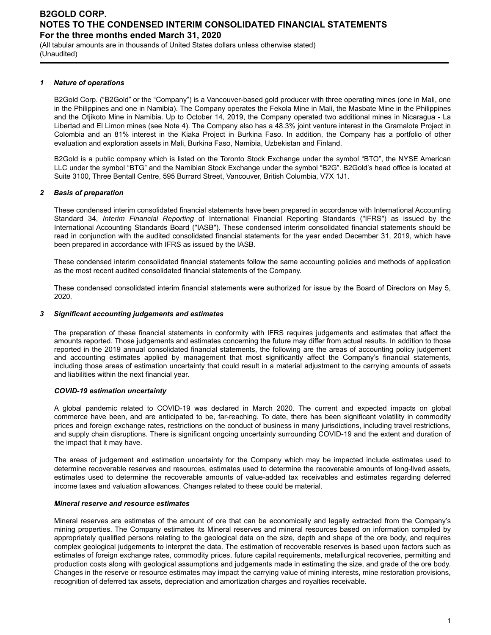(All tabular amounts are in thousands of United States dollars unless otherwise stated) (Unaudited)

#### *1 Nature of operations*

B2Gold Corp. ("B2Gold" or the "Company") is a Vancouver-based gold producer with three operating mines (one in Mali, one in the Philippines and one in Namibia). The Company operates the Fekola Mine in Mali, the Masbate Mine in the Philippines and the Otjikoto Mine in Namibia. Up to October 14, 2019, the Company operated two additional mines in Nicaragua - La Libertad and El Limon mines (see Note 4). The Company also has a 48.3% joint venture interest in the Gramalote Project in Colombia and an 81% interest in the Kiaka Project in Burkina Faso. In addition, the Company has a portfolio of other evaluation and exploration assets in Mali, Burkina Faso, Namibia, Uzbekistan and Finland.

B2Gold is a public company which is listed on the Toronto Stock Exchange under the symbol "BTO", the NYSE American LLC under the symbol "BTG" and the Namibian Stock Exchange under the symbol "B2G". B2Gold's head office is located at Suite 3100, Three Bentall Centre, 595 Burrard Street, Vancouver, British Columbia, V7X 1J1.

#### *2 Basis of preparation*

These condensed interim consolidated financial statements have been prepared in accordance with International Accounting Standard 34, *Interim Financial Reporting* of International Financial Reporting Standards ("IFRS") as issued by the International Accounting Standards Board ("IASB"). These condensed interim consolidated financial statements should be read in conjunction with the audited consolidated financial statements for the year ended December 31, 2019, which have been prepared in accordance with IFRS as issued by the IASB.

These condensed interim consolidated financial statements follow the same accounting policies and methods of application as the most recent audited consolidated financial statements of the Company.

These condensed consolidated interim financial statements were authorized for issue by the Board of Directors on May 5, 2020.

#### *3 Significant accounting judgements and estimates*

The preparation of these financial statements in conformity with IFRS requires judgements and estimates that affect the amounts reported. Those judgements and estimates concerning the future may differ from actual results. In addition to those reported in the 2019 annual consolidated financial statements, the following are the areas of accounting policy judgement and accounting estimates applied by management that most significantly affect the Company's financial statements, including those areas of estimation uncertainty that could result in a material adjustment to the carrying amounts of assets and liabilities within the next financial year.

#### *COVID-19 estimation uncertainty*

A global pandemic related to COVID-19 was declared in March 2020. The current and expected impacts on global commerce have been, and are anticipated to be, far-reaching. To date, there has been significant volatility in commodity prices and foreign exchange rates, restrictions on the conduct of business in many jurisdictions, including travel restrictions, and supply chain disruptions. There is significant ongoing uncertainty surrounding COVID-19 and the extent and duration of the impact that it may have.

The areas of judgement and estimation uncertainty for the Company which may be impacted include estimates used to determine recoverable reserves and resources, estimates used to determine the recoverable amounts of long-lived assets, estimates used to determine the recoverable amounts of value-added tax receivables and estimates regarding deferred income taxes and valuation allowances. Changes related to these could be material.

#### *Mineral reserve and resource estimates*

Mineral reserves are estimates of the amount of ore that can be economically and legally extracted from the Company's mining properties. The Company estimates its Mineral reserves and mineral resources based on information compiled by appropriately qualified persons relating to the geological data on the size, depth and shape of the ore body, and requires complex geological judgements to interpret the data. The estimation of recoverable reserves is based upon factors such as estimates of foreign exchange rates, commodity prices, future capital requirements, metallurgical recoveries, permitting and production costs along with geological assumptions and judgements made in estimating the size, and grade of the ore body. Changes in the reserve or resource estimates may impact the carrying value of mining interests, mine restoration provisions, recognition of deferred tax assets, depreciation and amortization charges and royalties receivable.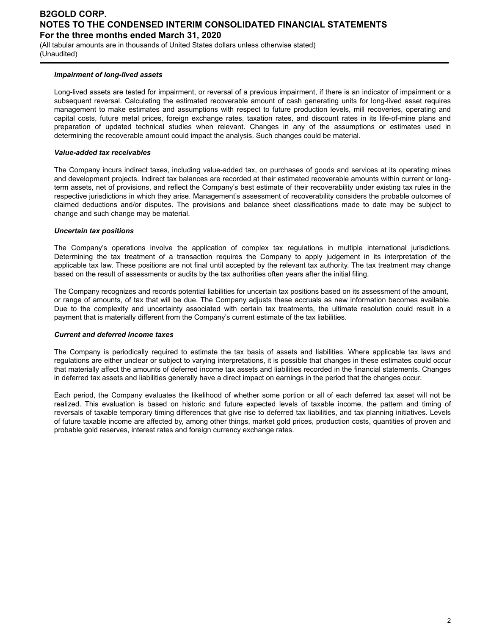(All tabular amounts are in thousands of United States dollars unless otherwise stated) (Unaudited)

#### *Impairment of long-lived assets*

Long-lived assets are tested for impairment, or reversal of a previous impairment, if there is an indicator of impairment or a subsequent reversal. Calculating the estimated recoverable amount of cash generating units for long-lived asset requires management to make estimates and assumptions with respect to future production levels, mill recoveries, operating and capital costs, future metal prices, foreign exchange rates, taxation rates, and discount rates in its life-of-mine plans and preparation of updated technical studies when relevant. Changes in any of the assumptions or estimates used in determining the recoverable amount could impact the analysis. Such changes could be material.

#### *Value-added tax receivables*

The Company incurs indirect taxes, including value-added tax, on purchases of goods and services at its operating mines and development projects. Indirect tax balances are recorded at their estimated recoverable amounts within current or longterm assets, net of provisions, and reflect the Company's best estimate of their recoverability under existing tax rules in the respective jurisdictions in which they arise. Management's assessment of recoverability considers the probable outcomes of claimed deductions and/or disputes. The provisions and balance sheet classifications made to date may be subject to change and such change may be material.

#### *Uncertain tax positions*

The Company's operations involve the application of complex tax regulations in multiple international jurisdictions. Determining the tax treatment of a transaction requires the Company to apply judgement in its interpretation of the applicable tax law. These positions are not final until accepted by the relevant tax authority. The tax treatment may change based on the result of assessments or audits by the tax authorities often years after the initial filing.

The Company recognizes and records potential liabilities for uncertain tax positions based on its assessment of the amount, or range of amounts, of tax that will be due. The Company adjusts these accruals as new information becomes available. Due to the complexity and uncertainty associated with certain tax treatments, the ultimate resolution could result in a payment that is materially different from the Company's current estimate of the tax liabilities.

#### *Current and deferred income taxes*

The Company is periodically required to estimate the tax basis of assets and liabilities. Where applicable tax laws and regulations are either unclear or subject to varying interpretations, it is possible that changes in these estimates could occur that materially affect the amounts of deferred income tax assets and liabilities recorded in the financial statements. Changes in deferred tax assets and liabilities generally have a direct impact on earnings in the period that the changes occur.

Each period, the Company evaluates the likelihood of whether some portion or all of each deferred tax asset will not be realized. This evaluation is based on historic and future expected levels of taxable income, the pattern and timing of reversals of taxable temporary timing differences that give rise to deferred tax liabilities, and tax planning initiatives. Levels of future taxable income are affected by, among other things, market gold prices, production costs, quantities of proven and probable gold reserves, interest rates and foreign currency exchange rates.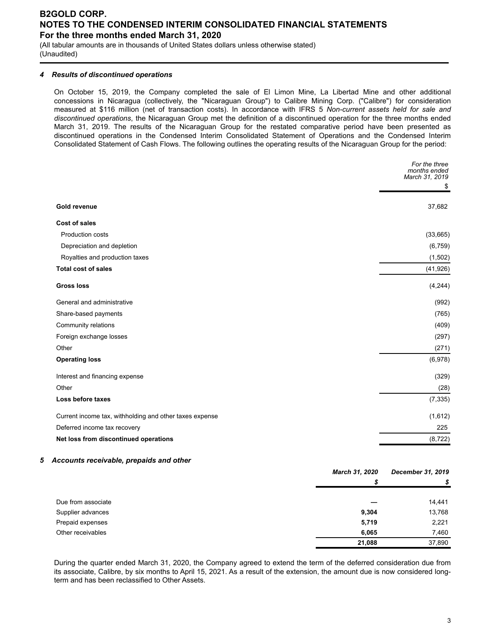(All tabular amounts are in thousands of United States dollars unless otherwise stated) (Unaudited)

#### *4 Results of discontinued operations*

On October 15, 2019, the Company completed the sale of El Limon Mine, La Libertad Mine and other additional concessions in Nicaragua (collectively, the "Nicaraguan Group") to Calibre Mining Corp. ("Calibre") for consideration measured at \$116 million (net of transaction costs). In accordance with IFRS 5 *Non-current assets held for sale and discontinued operations*, the Nicaraguan Group met the definition of a discontinued operation for the three months ended March 31, 2019. The results of the Nicaraguan Group for the restated comparative period have been presented as discontinued operations in the Condensed Interim Consolidated Statement of Operations and the Condensed Interim Consolidated Statement of Cash Flows. The following outlines the operating results of the Nicaraguan Group for the period:

|                                                         | For the three<br>months ended<br>March 31, 2019 |
|---------------------------------------------------------|-------------------------------------------------|
|                                                         | \$                                              |
| <b>Gold revenue</b>                                     | 37,682                                          |
| <b>Cost of sales</b>                                    |                                                 |
| <b>Production costs</b>                                 | (33,665)                                        |
| Depreciation and depletion                              | (6, 759)                                        |
| Royalties and production taxes                          | (1,502)                                         |
| <b>Total cost of sales</b>                              | (41, 926)                                       |
| <b>Gross loss</b>                                       | (4,244)                                         |
| General and administrative                              | (992)                                           |
| Share-based payments                                    | (765)                                           |
| Community relations                                     | (409)                                           |
| Foreign exchange losses                                 | (297)                                           |
| Other                                                   | (271)                                           |
| <b>Operating loss</b>                                   | (6,978)                                         |
| Interest and financing expense                          | (329)                                           |
| Other                                                   | (28)                                            |
| Loss before taxes                                       | (7, 335)                                        |
| Current income tax, withholding and other taxes expense | (1,612)                                         |
| Deferred income tax recovery                            | 225                                             |
| Net loss from discontinued operations                   | (8, 722)                                        |

#### *5 Accounts receivable, prepaids and other*

|                    | <b>March 31, 2020</b> | December 31, 2019 |
|--------------------|-----------------------|-------------------|
|                    | S                     | \$                |
| Due from associate |                       | 14,441            |
| Supplier advances  | 9,304                 | 13,768            |
| Prepaid expenses   | 5,719                 | 2,221             |
| Other receivables  | 6,065                 | 7,460             |
|                    | 21,088                | 37,890            |

During the quarter ended March 31, 2020, the Company agreed to extend the term of the deferred consideration due from its associate, Calibre, by six months to April 15, 2021. As a result of the extension, the amount due is now considered longterm and has been reclassified to Other Assets.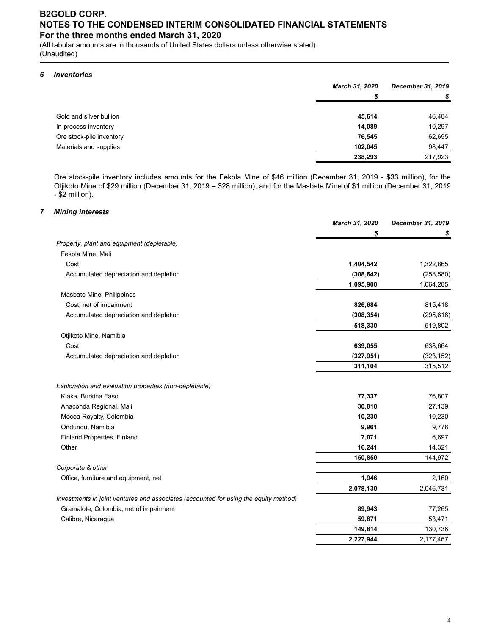(All tabular amounts are in thousands of United States dollars unless otherwise stated) (Unaudited)

### *6 Inventories*

|                          | <b>March 31, 2020</b> | December 31, 2019 |
|--------------------------|-----------------------|-------------------|
|                          | S                     | \$                |
| Gold and silver bullion  | 45.614                | 46,484            |
| In-process inventory     | 14.089                | 10,297            |
| Ore stock-pile inventory | 76,545                | 62,695            |
| Materials and supplies   | 102.045               | 98.447            |
|                          | 238,293               | 217,923           |

Ore stock-pile inventory includes amounts for the Fekola Mine of \$46 million (December 31, 2019 - \$33 million), for the Otjikoto Mine of \$29 million (December 31, 2019 – \$28 million), and for the Masbate Mine of \$1 million (December 31, 2019 - \$2 million).

#### *7 Mining interests*

|                                                                                      | March 31, 2020 | December 31, 2019 |
|--------------------------------------------------------------------------------------|----------------|-------------------|
|                                                                                      | \$             | \$                |
| Property, plant and equipment (depletable)                                           |                |                   |
| Fekola Mine, Mali                                                                    |                |                   |
| Cost                                                                                 | 1,404,542      | 1,322,865         |
| Accumulated depreciation and depletion                                               | (308, 642)     | (258, 580)        |
|                                                                                      | 1,095,900      | 1,064,285         |
| Masbate Mine, Philippines                                                            |                |                   |
| Cost, net of impairment                                                              | 826,684        | 815,418           |
| Accumulated depreciation and depletion                                               | (308, 354)     | (295, 616)        |
|                                                                                      | 518,330        | 519,802           |
| Otjikoto Mine, Namibia                                                               |                |                   |
| Cost                                                                                 | 639,055        | 638,664           |
| Accumulated depreciation and depletion                                               | (327, 951)     | (323, 152)        |
|                                                                                      | 311,104        | 315,512           |
| Exploration and evaluation properties (non-depletable)                               |                |                   |
| Kiaka, Burkina Faso                                                                  | 77,337         | 76,807            |
| Anaconda Regional, Mali                                                              | 30,010         | 27,139            |
| Mocoa Royalty, Colombia                                                              | 10,230         | 10,230            |
| Ondundu, Namibia                                                                     | 9,961          | 9,778             |
| <b>Finland Properties, Finland</b>                                                   | 7,071          | 6,697             |
| Other                                                                                | 16,241         | 14,321            |
|                                                                                      | 150,850        | 144,972           |
| Corporate & other                                                                    |                |                   |
| Office, furniture and equipment, net                                                 | 1,946          | 2,160             |
|                                                                                      | 2,078,130      | 2,046,731         |
| Investments in joint ventures and associates (accounted for using the equity method) |                |                   |
| Gramalote, Colombia, net of impairment                                               | 89,943         | 77,265            |
| Calibre, Nicaragua                                                                   | 59,871         | 53,471            |
|                                                                                      | 149,814        | 130,736           |
|                                                                                      | 2,227,944      | 2,177,467         |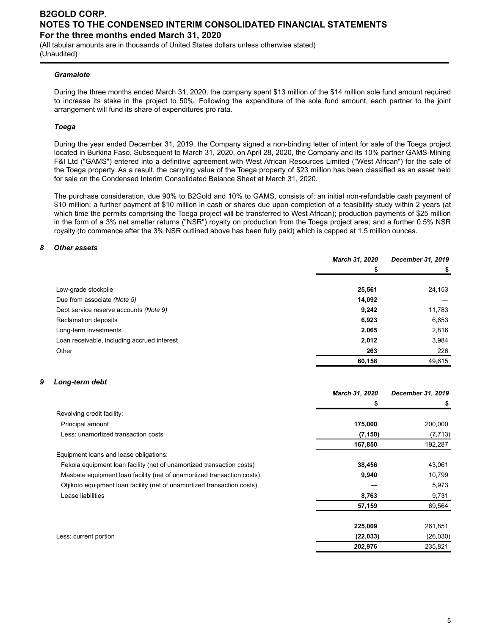(All tabular amounts are in thousands of United States dollars unless otherwise stated) (Unaudited)

#### *Gramalote*

During the three months ended March 31, 2020, the company spent \$13 million of the \$14 million sole fund amount required to increase its stake in the project to 50%. Following the expenditure of the sole fund amount, each partner to the joint arrangement will fund its share of expenditures pro rata.

#### *Toega*

During the year ended December 31, 2019, the Company signed a non-binding letter of intent for sale of the Toega project located in Burkina Faso. Subsequent to March 31, 2020, on April 28, 2020, the Company and its 10% partner GAMS-Mining F&I Ltd ("GAMS") entered into a definitive agreement with West African Resources Limited ("West African") for the sale of the Toega property. As a result, the carrying value of the Toega property of \$23 million has been classified as an asset held for sale on the Condensed Interim Consolidated Balance Sheet at March 31, 2020.

The purchase consideration, due 90% to B2Gold and 10% to GAMS, consists of: an initial non-refundable cash payment of \$10 million; a further payment of \$10 million in cash or shares due upon completion of a feasibility study within 2 years (at which time the permits comprising the Toega project will be transferred to West African); production payments of \$25 million in the form of a 3% net smelter returns ("NSR") royalty on production from the Toega project area; and a further 0.5% NSR royalty (to commence after the 3% NSR outlined above has been fully paid) which is capped at 1.5 million ounces.

#### *8 Other assets*

|                                             | March 31, 2020 | December 31, 2019 |
|---------------------------------------------|----------------|-------------------|
|                                             | \$             |                   |
| Low-grade stockpile                         | 25,561         | 24,153            |
| Due from associate (Note 5)                 | 14,092         |                   |
| Debt service reserve accounts (Note 9)      | 9,242          | 11,783            |
| Reclamation deposits                        | 6,923          | 6,653             |
| Long-term investments                       | 2,065          | 2,816             |
| Loan receivable, including accrued interest | 2,012          | 3,984             |
| Other                                       | 263            | 226               |
|                                             | 60,158         | 49,615            |

#### *9 Long-term debt*

|                                                                         | March 31, 2020 | December 31, 2019 |
|-------------------------------------------------------------------------|----------------|-------------------|
|                                                                         |                | \$                |
| Revolving credit facility:                                              |                |                   |
| Principal amount                                                        | 175,000        | 200,000           |
| Less: unamortized transaction costs                                     | (7, 150)       | (7, 713)          |
|                                                                         | 167,850        | 192,287           |
| Equipment loans and lease obligations:                                  |                |                   |
| Fekola equipment loan facility (net of unamortized transaction costs)   | 38,456         | 43,061            |
| Masbate equipment loan facility (net of unamortized transaction costs)  | 9,940          | 10,799            |
| Otjikoto equipment loan facility (net of unamortized transaction costs) |                | 5,973             |
| Lease liabilities                                                       | 8,763          | 9,731             |
|                                                                         | 57,159         | 69,564            |
|                                                                         |                |                   |
|                                                                         | 225,009        | 261,851           |
| Less: current portion                                                   | (22, 033)      | (26,030)          |
|                                                                         | 202,976        | 235,821           |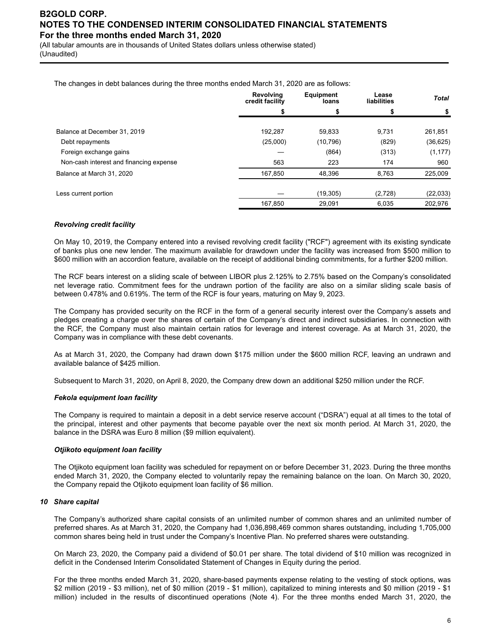(All tabular amounts are in thousands of United States dollars unless otherwise stated) (Unaudited)

The changes in debt balances during the three months ended March 31, 2020 are as follows:

|                                         | <b>Revolving</b><br>credit facility | <b>Equipment</b><br>loans | Lease<br>liabilities | <b>Total</b> |
|-----------------------------------------|-------------------------------------|---------------------------|----------------------|--------------|
|                                         |                                     |                           |                      | \$           |
| Balance at December 31, 2019            | 192,287                             | 59,833                    | 9.731                | 261,851      |
| Debt repayments                         | (25,000)                            | (10, 796)                 | (829)                | (36, 625)    |
| Foreign exchange gains                  |                                     | (864)                     | (313)                | (1, 177)     |
| Non-cash interest and financing expense | 563                                 | 223                       | 174                  | 960          |
| Balance at March 31, 2020               | 167.850                             | 48.396                    | 8.763                | 225,009      |
| Less current portion                    |                                     | (19, 305)                 | (2,728)              | (22, 033)    |
|                                         | 167.850                             | 29.091                    | 6.035                | 202.976      |

#### *Revolving credit facility*

On May 10, 2019, the Company entered into a revised revolving credit facility ("RCF") agreement with its existing syndicate of banks plus one new lender. The maximum available for drawdown under the facility was increased from \$500 million to \$600 million with an accordion feature, available on the receipt of additional binding commitments, for a further \$200 million.

The RCF bears interest on a sliding scale of between LIBOR plus 2.125% to 2.75% based on the Company's consolidated net leverage ratio. Commitment fees for the undrawn portion of the facility are also on a similar sliding scale basis of between 0.478% and 0.619%. The term of the RCF is four years, maturing on May 9, 2023.

The Company has provided security on the RCF in the form of a general security interest over the Company's assets and pledges creating a charge over the shares of certain of the Company's direct and indirect subsidiaries. In connection with the RCF, the Company must also maintain certain ratios for leverage and interest coverage. As at March 31, 2020, the Company was in compliance with these debt covenants.

As at March 31, 2020, the Company had drawn down \$175 million under the \$600 million RCF, leaving an undrawn and available balance of \$425 million.

Subsequent to March 31, 2020, on April 8, 2020, the Company drew down an additional \$250 million under the RCF.

#### *Fekola equipment loan facility*

The Company is required to maintain a deposit in a debt service reserve account ("DSRA") equal at all times to the total of the principal, interest and other payments that become payable over the next six month period. At March 31, 2020, the balance in the DSRA was Euro 8 million (\$9 million equivalent).

#### *Otjikoto equipment loan facility*

The Otjikoto equipment loan facility was scheduled for repayment on or before December 31, 2023. During the three months ended March 31, 2020, the Company elected to voluntarily repay the remaining balance on the loan. On March 30, 2020, the Company repaid the Otjikoto equipment loan facility of \$6 million.

#### *10 Share capital*

The Company's authorized share capital consists of an unlimited number of common shares and an unlimited number of preferred shares. As at March 31, 2020, the Company had 1,036,898,469 common shares outstanding, including 1,705,000 common shares being held in trust under the Company's Incentive Plan. No preferred shares were outstanding.

On March 23, 2020, the Company paid a dividend of \$0.01 per share. The total dividend of \$10 million was recognized in deficit in the Condensed Interim Consolidated Statement of Changes in Equity during the period.

For the three months ended March 31, 2020, share-based payments expense relating to the vesting of stock options, was \$2 million (2019 - \$3 million), net of \$0 million (2019 - \$1 million), capitalized to mining interests and \$0 million (2019 - \$1 million) included in the results of discontinued operations (Note 4). For the three months ended March 31, 2020, the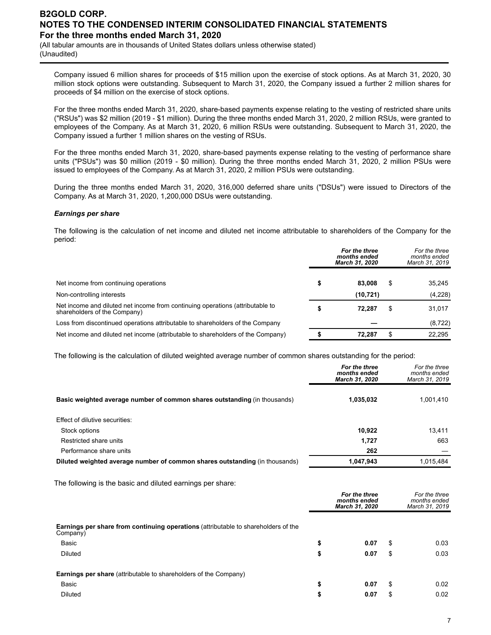(All tabular amounts are in thousands of United States dollars unless otherwise stated) (Unaudited)

Company issued 6 million shares for proceeds of \$15 million upon the exercise of stock options. As at March 31, 2020, 30 million stock options were outstanding. Subsequent to March 31, 2020, the Company issued a further 2 million shares for proceeds of \$4 million on the exercise of stock options.

For the three months ended March 31, 2020, share-based payments expense relating to the vesting of restricted share units ("RSUs") was \$2 million (2019 - \$1 million). During the three months ended March 31, 2020, 2 million RSUs, were granted to employees of the Company. As at March 31, 2020, 6 million RSUs were outstanding. Subsequent to March 31, 2020, the Company issued a further 1 million shares on the vesting of RSUs.

For the three months ended March 31, 2020, share-based payments expense relating to the vesting of performance share units ("PSUs") was \$0 million (2019 - \$0 million). During the three months ended March 31, 2020, 2 million PSUs were issued to employees of the Company. As at March 31, 2020, 2 million PSUs were outstanding.

During the three months ended March 31, 2020, 316,000 deferred share units ("DSUs") were issued to Directors of the Company. As at March 31, 2020, 1,200,000 DSUs were outstanding.

#### *Earnings per share*

The following is the calculation of net income and diluted net income attributable to shareholders of the Company for the period:

|                                                                                                               | For the three<br>months ended<br>March 31, 2020 |    | For the three<br>months ended<br>March 31, 2019 |
|---------------------------------------------------------------------------------------------------------------|-------------------------------------------------|----|-------------------------------------------------|
|                                                                                                               |                                                 |    |                                                 |
| Net income from continuing operations                                                                         | \$<br>83.008                                    | \$ | 35,245                                          |
| Non-controlling interests                                                                                     | (10, 721)                                       |    | (4,228)                                         |
| Net income and diluted net income from continuing operations (attributable to<br>shareholders of the Company) | \$<br>72.287                                    | S  | 31,017                                          |
| Loss from discontinued operations attributable to shareholders of the Company                                 |                                                 |    | (8, 722)                                        |
| Net income and diluted net income (attributable to shareholders of the Company)                               | 72.287                                          |    | 22.295                                          |

The following is the calculation of diluted weighted average number of common shares outstanding for the period:

|                                                                             | For the three<br>months ended<br><b>March 31, 2020</b> | For the three<br>months ended<br>March 31, 2019 |
|-----------------------------------------------------------------------------|--------------------------------------------------------|-------------------------------------------------|
| Basic weighted average number of common shares outstanding (in thousands)   | 1,035,032                                              | 1,001,410                                       |
| Effect of dilutive securities:                                              |                                                        |                                                 |
| Stock options                                                               | 10,922                                                 | 13,411                                          |
| Restricted share units                                                      | 1,727                                                  | 663                                             |
| Performance share units                                                     | 262                                                    |                                                 |
| Diluted weighted average number of common shares outstanding (in thousands) | 1,047,943                                              | 1,015,484                                       |
| The following is the basic and diluted earnings per share:                  |                                                        |                                                 |
|                                                                             | For the three<br>months ended<br><b>March 31, 2020</b> | For the three<br>months ended<br>March 31, 2019 |
|                                                                             |                                                        |                                                 |

| Earnings per share from continuing operations (attributable to shareholders of the<br>Company) |   |      |   |      |
|------------------------------------------------------------------------------------------------|---|------|---|------|
| Basic                                                                                          |   | 0.07 |   | 0.03 |
| <b>Diluted</b>                                                                                 |   | 0.07 | S | 0.03 |
| <b>Earnings per share</b> (attributable to shareholders of the Company)                        |   |      |   |      |
| Basic                                                                                          | ъ | 0.07 |   | 0.02 |
| <b>Diluted</b>                                                                                 |   | 0.07 |   | 0.02 |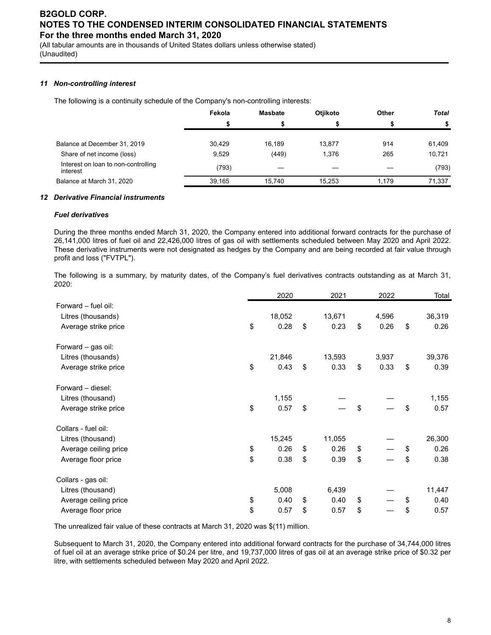(All tabular amounts are in thousands of United States dollars unless otherwise stated) (Unaudited)

#### *11 Non-controlling interest*

The following is a continuity schedule of the Company's non-controlling interests:

|                                                 | Fekola | <b>Masbate</b> | <b>Otiikoto</b> | Other | <b>Total</b> |
|-------------------------------------------------|--------|----------------|-----------------|-------|--------------|
|                                                 |        |                |                 |       |              |
|                                                 |        |                |                 |       |              |
| Balance at December 31, 2019                    | 30.429 | 16.189         | 13.877          | 914   | 61,409       |
| Share of net income (loss)                      | 9,529  | (449)          | 1.376           | 265   | 10,721       |
| Interest on loan to non-controlling<br>interest | (793)  |                |                 |       | (793)        |
| Balance at March 31, 2020                       | 39.165 | 15.740         | 15.253          | 1.179 | 71.337       |

#### *12 Derivative Financial instruments*

#### *Fuel derivatives*

During the three months ended March 31, 2020, the Company entered into additional forward contracts for the purchase of 26,141,000 litres of fuel oil and 22,426,000 litres of gas oil with settlements scheduled between May 2020 and April 2022. These derivative instruments were not designated as hedges by the Company and are being recorded at fair value through profit and loss ("FVTPL").

The following is a summary, by maturity dates, of the Company's fuel derivatives contracts outstanding as at March 31, 2020:

|                       | 2020       | 2021       | 2022       | Total      |
|-----------------------|------------|------------|------------|------------|
| Forward - fuel oil:   |            |            |            |            |
| Litres (thousands)    | 18,052     | 13,671     | 4,596      | 36,319     |
| Average strike price  | \$<br>0.28 | \$<br>0.23 | \$<br>0.26 | \$<br>0.26 |
| Forward – gas oil:    |            |            |            |            |
| Litres (thousands)    | 21,846     | 13,593     | 3,937      | 39,376     |
| Average strike price  | \$<br>0.43 | \$<br>0.33 | \$<br>0.33 | \$<br>0.39 |
| Forward – diesel:     |            |            |            |            |
| Litres (thousand)     | 1,155      |            |            | 1,155      |
| Average strike price  | \$<br>0.57 | \$         | \$         | \$<br>0.57 |
| Collars - fuel oil:   |            |            |            |            |
| Litres (thousand)     | 15,245     | 11,055     |            | 26,300     |
| Average ceiling price | \$<br>0.26 | \$<br>0.26 | \$         | \$<br>0.26 |
| Average floor price   | \$<br>0.38 | \$<br>0.39 | \$         | \$<br>0.38 |
| Collars - gas oil:    |            |            |            |            |
| Litres (thousand)     | 5,008      | 6,439      |            | 11,447     |
| Average ceiling price | \$<br>0.40 | \$<br>0.40 | \$         | \$<br>0.40 |
| Average floor price   | \$<br>0.57 | \$<br>0.57 | \$         | \$<br>0.57 |

The unrealized fair value of these contracts at March 31, 2020 was \$(11) million.

Subsequent to March 31, 2020, the Company entered into additional forward contracts for the purchase of 34,744,000 litres of fuel oil at an average strike price of \$0.24 per litre, and 19,737,000 litres of gas oil at an average strike price of \$0.32 per litre, with settlements scheduled between May 2020 and April 2022.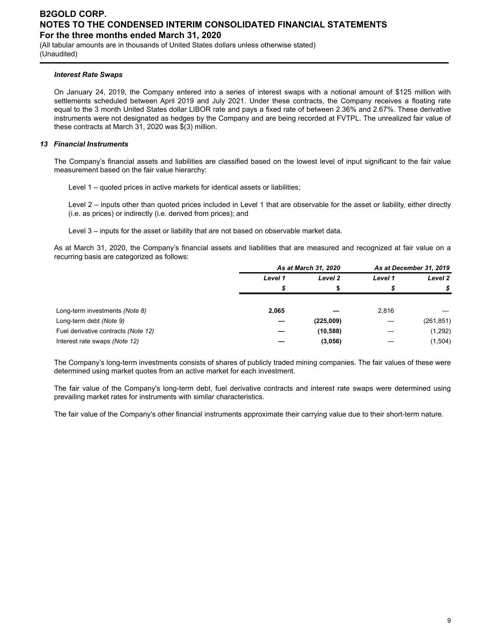(All tabular amounts are in thousands of United States dollars unless otherwise stated) (Unaudited)

#### *Interest Rate Swaps*

On January 24, 2019, the Company entered into a series of interest swaps with a notional amount of \$125 million with settlements scheduled between April 2019 and July 2021. Under these contracts, the Company receives a floating rate equal to the 3 month United States dollar LIBOR rate and pays a fixed rate of between 2.36% and 2.67%. These derivative instruments were not designated as hedges by the Company and are being recorded at FVTPL. The unrealized fair value of these contracts at March 31, 2020 was \$(3) million.

#### *13 Financial Instruments*

The Company's financial assets and liabilities are classified based on the lowest level of input significant to the fair value measurement based on the fair value hierarchy:

Level 1 – quoted prices in active markets for identical assets or liabilities;

Level 2 – inputs other than quoted prices included in Level 1 that are observable for the asset or liability, either directly (i.e. as prices) or indirectly (i.e. derived from prices); and

Level 3 – inputs for the asset or liability that are not based on observable market data.

As at March 31, 2020, the Company's financial assets and liabilities that are measured and recognized at fair value on a recurring basis are categorized as follows:

|                                     | As at March 31, 2020 |           | As at December 31, 2019 |            |
|-------------------------------------|----------------------|-----------|-------------------------|------------|
|                                     | Level 1              | Level 2   | Level 1                 | Level 2    |
|                                     | \$                   | æ         | S                       |            |
| Long-term investments (Note 8)      | 2,065                |           | 2,816                   |            |
| Long-term debt (Note 9)             |                      | (225,009) |                         | (261, 851) |
| Fuel derivative contracts (Note 12) |                      | (10, 588) |                         | (1,292)    |
| Interest rate swaps (Note 12)       |                      | (3,056)   |                         | (1,504)    |

The Company's long-term investments consists of shares of publicly traded mining companies. The fair values of these were determined using market quotes from an active market for each investment.

The fair value of the Company's long-term debt, fuel derivative contracts and interest rate swaps were determined using prevailing market rates for instruments with similar characteristics.

The fair value of the Company's other financial instruments approximate their carrying value due to their short-term nature.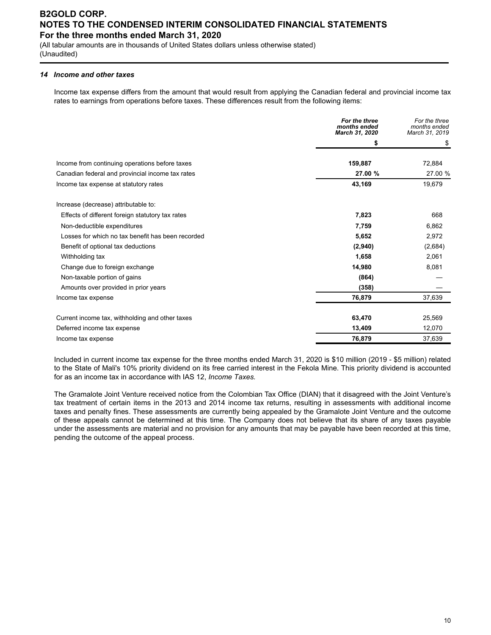(All tabular amounts are in thousands of United States dollars unless otherwise stated) (Unaudited)

#### *14 Income and other taxes*

Income tax expense differs from the amount that would result from applying the Canadian federal and provincial income tax rates to earnings from operations before taxes. These differences result from the following items:

|                                                   | For the three<br>months ended<br>March 31, 2020 | For the three<br>months ended<br>March 31, 2019 |
|---------------------------------------------------|-------------------------------------------------|-------------------------------------------------|
|                                                   | \$                                              | \$                                              |
| Income from continuing operations before taxes    | 159,887                                         | 72,884                                          |
| Canadian federal and provincial income tax rates  | 27.00 %                                         | 27.00 %                                         |
| Income tax expense at statutory rates             | 43,169                                          | 19,679                                          |
| Increase (decrease) attributable to:              |                                                 |                                                 |
| Effects of different foreign statutory tax rates  | 7,823                                           | 668                                             |
| Non-deductible expenditures                       | 7,759                                           | 6,862                                           |
| Losses for which no tax benefit has been recorded | 5,652                                           | 2,972                                           |
| Benefit of optional tax deductions                | (2,940)                                         | (2,684)                                         |
| Withholding tax                                   | 1,658                                           | 2,061                                           |
| Change due to foreign exchange                    | 14,980                                          | 8,081                                           |
| Non-taxable portion of gains                      | (864)                                           |                                                 |
| Amounts over provided in prior years              | (358)                                           |                                                 |
| Income tax expense                                | 76,879                                          | 37,639                                          |
| Current income tax, withholding and other taxes   | 63,470                                          | 25,569                                          |
| Deferred income tax expense                       | 13,409                                          | 12,070                                          |
| Income tax expense                                | 76,879                                          | 37,639                                          |

Included in current income tax expense for the three months ended March 31, 2020 is \$10 million (2019 - \$5 million) related to the State of Mali's 10% priority dividend on its free carried interest in the Fekola Mine. This priority dividend is accounted for as an income tax in accordance with IAS 12, *Income Taxes.*

The Gramalote Joint Venture received notice from the Colombian Tax Office (DIAN) that it disagreed with the Joint Venture's tax treatment of certain items in the 2013 and 2014 income tax returns, resulting in assessments with additional income taxes and penalty fines. These assessments are currently being appealed by the Gramalote Joint Venture and the outcome of these appeals cannot be determined at this time. The Company does not believe that its share of any taxes payable under the assessments are material and no provision for any amounts that may be payable have been recorded at this time, pending the outcome of the appeal process.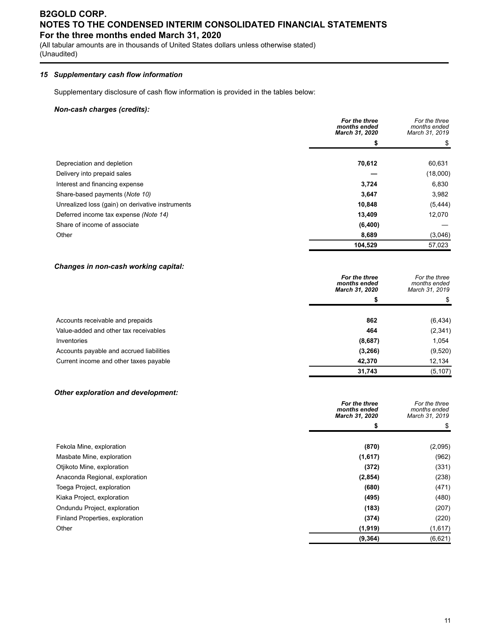(All tabular amounts are in thousands of United States dollars unless otherwise stated) (Unaudited)

#### *15 Supplementary cash flow information*

Supplementary disclosure of cash flow information is provided in the tables below:

#### *Non-cash charges (credits):*

|                                                  | For the three<br>months ended<br>March 31, 2020 | For the three<br>months ended<br>March 31, 2019 |
|--------------------------------------------------|-------------------------------------------------|-------------------------------------------------|
|                                                  | \$                                              | \$                                              |
| Depreciation and depletion                       | 70,612                                          | 60,631                                          |
| Delivery into prepaid sales                      |                                                 | (18,000)                                        |
| Interest and financing expense                   | 3,724                                           | 6,830                                           |
| Share-based payments (Note 10)                   | 3,647                                           | 3,982                                           |
| Unrealized loss (gain) on derivative instruments | 10,848                                          | (5, 444)                                        |
| Deferred income tax expense (Note 14)            | 13,409                                          | 12,070                                          |
| Share of income of associate                     | (6,400)                                         |                                                 |
| Other                                            | 8,689                                           | (3,046)                                         |
|                                                  | 104,529                                         | 57,023                                          |

#### *Changes in non-cash working capital:*

|                                          | For the three<br>months ended<br>March 31, 2020 | For the three<br>months ended<br>March 31, 2019 |
|------------------------------------------|-------------------------------------------------|-------------------------------------------------|
|                                          |                                                 | \$.                                             |
| Accounts receivable and prepaids         | 862                                             | (6, 434)                                        |
| Value-added and other tax receivables    | 464                                             | (2, 341)                                        |
| Inventories                              | (8,687)                                         | 1,054                                           |
| Accounts payable and accrued liabilities | (3,266)                                         | (9,520)                                         |
| Current income and other taxes payable   | 42,370                                          | 12,134                                          |
|                                          | 31,743                                          | (5, 107)                                        |

#### *Other exploration and development:*

|                                 | For the three<br>months ended<br>March 31, 2020 | For the three<br>months ended<br>March 31, 2019 |
|---------------------------------|-------------------------------------------------|-------------------------------------------------|
|                                 | \$                                              | \$                                              |
| Fekola Mine, exploration        | (870)                                           | (2,095)                                         |
| Masbate Mine, exploration       | (1,617)                                         | (962)                                           |
| Otjikoto Mine, exploration      | (372)                                           | (331)                                           |
| Anaconda Regional, exploration  | (2, 854)                                        | (238)                                           |
| Toega Project, exploration      | (680)                                           | (471)                                           |
| Kiaka Project, exploration      | (495)                                           | (480)                                           |
| Ondundu Project, exploration    | (183)                                           | (207)                                           |
| Finland Properties, exploration | (374)                                           | (220)                                           |
| Other                           | (1, 919)                                        | (1,617)                                         |
|                                 | (9, 364)                                        | (6,621)                                         |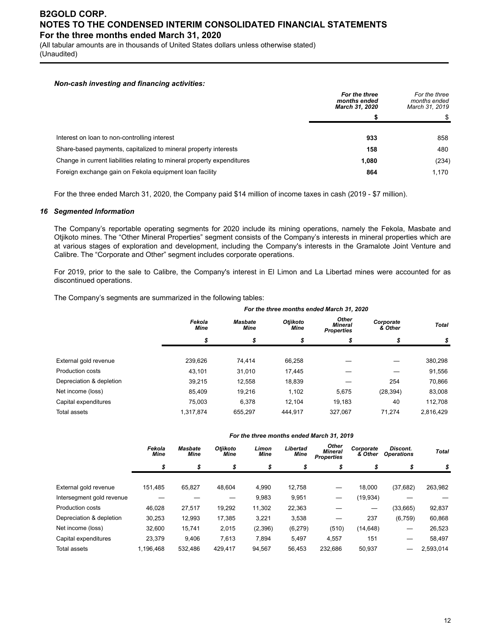(All tabular amounts are in thousands of United States dollars unless otherwise stated) (Unaudited)

#### *Non-cash investing and financing activities:*

|                                                                         | For the three<br>months ended<br>March 31, 2020 | For the three<br>months ended<br>March 31, 2019 |
|-------------------------------------------------------------------------|-------------------------------------------------|-------------------------------------------------|
|                                                                         |                                                 |                                                 |
| Interest on loan to non-controlling interest                            | 933                                             | 858                                             |
| Share-based payments, capitalized to mineral property interests         | 158                                             | 480                                             |
| Change in current liabilities relating to mineral property expenditures | 1.080                                           | (234)                                           |
| Foreign exchange gain on Fekola equipment loan facility                 | 864                                             | 1.170                                           |

For the three ended March 31, 2020, the Company paid \$14 million of income taxes in cash (2019 - \$7 million).

#### *16 Segmented Information*

The Company's reportable operating segments for 2020 include its mining operations, namely the Fekola, Masbate and Otjikoto mines. The "Other Mineral Properties" segment consists of the Company's interests in mineral properties which are at various stages of exploration and development, including the Company's interests in the Gramalote Joint Venture and Calibre. The "Corporate and Other" segment includes corporate operations.

For 2019, prior to the sale to Calibre, the Company's interest in El Limon and La Libertad mines were accounted for as discontinued operations.

The Company's segments are summarized in the following tables:

|                          | For the three months ended March 31, 2020 |                               |                         |                                       |                      |              |  |  |  |  |  |
|--------------------------|-------------------------------------------|-------------------------------|-------------------------|---------------------------------------|----------------------|--------------|--|--|--|--|--|
|                          | Fekola<br><b>Mine</b>                     | <b>Masbate</b><br><b>Mine</b> | Otjikoto<br><b>Mine</b> | Other<br>Mineral<br><b>Properties</b> | Corporate<br>& Other | <b>Total</b> |  |  |  |  |  |
|                          | \$                                        | \$                            | \$                      | \$                                    | S                    | \$           |  |  |  |  |  |
|                          |                                           |                               |                         |                                       |                      |              |  |  |  |  |  |
| External gold revenue    | 239.626                                   | 74.414                        | 66,258                  |                                       |                      | 380,298      |  |  |  |  |  |
| <b>Production costs</b>  | 43.101                                    | 31,010                        | 17,445                  |                                       |                      | 91,556       |  |  |  |  |  |
| Depreciation & depletion | 39,215                                    | 12,558                        | 18,839                  |                                       | 254                  | 70,866       |  |  |  |  |  |
| Net income (loss)        | 85,409                                    | 19,216                        | 1,102                   | 5,675                                 | (28, 394)            | 83,008       |  |  |  |  |  |
| Capital expenditures     | 75.003                                    | 6.378                         | 12.104                  | 19.183                                | 40                   | 112,708      |  |  |  |  |  |
| <b>Total assets</b>      | 1,317,874                                 | 655.297                       | 444.917                 | 327.067                               | 71.274               | 2,816,429    |  |  |  |  |  |

|  |  |  | For the three months ended March 31, 2019 |  |  |  |  |
|--|--|--|-------------------------------------------|--|--|--|--|
|--|--|--|-------------------------------------------|--|--|--|--|

|                           | Fekola<br><b>Mine</b> | <b>Masbate</b><br><b>Mine</b> | <b>Otiikoto</b><br>Mine | Limon<br><b>Mine</b> | Libertad<br>Mine | Other<br><b>Mineral</b><br><b>Properties</b> | Corporate<br>& Other | Discont.<br><b>Operations</b> | <b>Total</b> |
|---------------------------|-----------------------|-------------------------------|-------------------------|----------------------|------------------|----------------------------------------------|----------------------|-------------------------------|--------------|
|                           | \$                    | \$                            | \$                      | \$                   | \$               | \$                                           | \$                   | \$                            | \$           |
|                           |                       |                               |                         |                      |                  |                                              |                      |                               |              |
| External gold revenue     | 151,485               | 65,827                        | 48.604                  | 4,990                | 12,758           | —                                            | 18,000               | (37, 682)                     | 263,982      |
| Intersegment gold revenue |                       |                               |                         | 9,983                | 9,951            |                                              | (19, 934)            |                               |              |
| <b>Production costs</b>   | 46.028                | 27.517                        | 19,292                  | 11,302               | 22.363           |                                              |                      | (33, 665)                     | 92,837       |
| Depreciation & depletion  | 30,253                | 12.993                        | 17,385                  | 3,221                | 3,538            |                                              | 237                  | (6, 759)                      | 60,868       |
| Net income (loss)         | 32,600                | 15,741                        | 2,015                   | (2,396)              | (6, 279)         | (510)                                        | (14, 648)            |                               | 26,523       |
| Capital expenditures      | 23,379                | 9,406                         | 7,613                   | 7,894                | 5.497            | 4,557                                        | 151                  |                               | 58,497       |
| Total assets              | 1.196.468             | 532.486                       | 429.417                 | 94.567               | 56.453           | 232.686                                      | 50,937               |                               | 2,593,014    |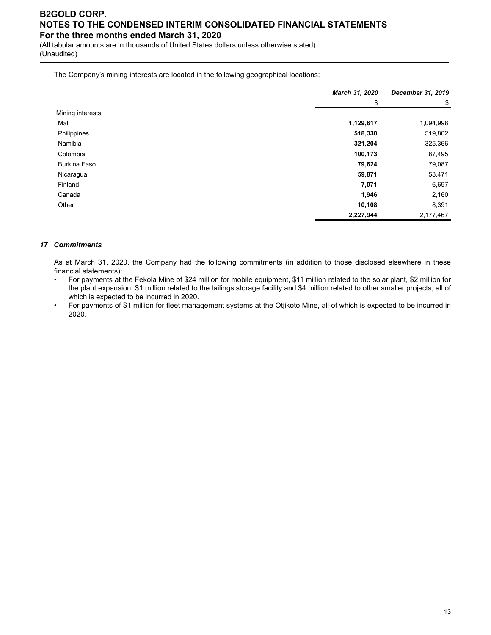(All tabular amounts are in thousands of United States dollars unless otherwise stated) (Unaudited)

The Company's mining interests are located in the following geographical locations:

|                     | March 31, 2020 | December 31, 2019 |
|---------------------|----------------|-------------------|
|                     | \$             | \$                |
| Mining interests    |                |                   |
| Mali                | 1,129,617      | 1,094,998         |
| Philippines         | 518,330        | 519,802           |
| Namibia             | 321,204        | 325,366           |
| Colombia            | 100,173        | 87,495            |
| <b>Burkina Faso</b> | 79,624         | 79,087            |
| Nicaragua           | 59,871         | 53,471            |
| Finland             | 7,071          | 6,697             |
| Canada              | 1,946          | 2,160             |
| Other               | 10,108         | 8,391             |
|                     | 2,227,944      | 2,177,467         |

#### *17 Commitments*

As at March 31, 2020, the Company had the following commitments (in addition to those disclosed elsewhere in these financial statements):

- For payments at the Fekola Mine of \$24 million for mobile equipment, \$11 million related to the solar plant, \$2 million for the plant expansion, \$1 million related to the tailings storage facility and \$4 million related to other smaller projects, all of which is expected to be incurred in 2020.
- For payments of \$1 million for fleet management systems at the Otjikoto Mine, all of which is expected to be incurred in 2020.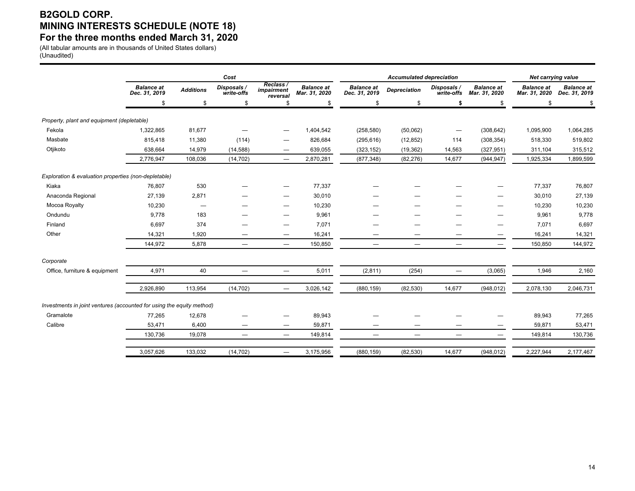# **B2GOLD CORP. MINING INTERESTS SCHEDULE (NOTE 18) For the three months ended March 31, 2020**

(All tabular amounts are in thousands of United States dollars) (Unaudited)

|                                                                       | Cost                               |                  |                           |                                     |                                    |                                    | <b>Accumulated depreciation</b> | <b>Net carrying value</b>       |                                    |                                    |                                    |
|-----------------------------------------------------------------------|------------------------------------|------------------|---------------------------|-------------------------------------|------------------------------------|------------------------------------|---------------------------------|---------------------------------|------------------------------------|------------------------------------|------------------------------------|
|                                                                       | <b>Balance</b> at<br>Dec. 31, 2019 | <b>Additions</b> | Disposals /<br>write-offs | Reclass /<br>impairment<br>reversal | <b>Balance at</b><br>Mar. 31, 2020 | <b>Balance</b> at<br>Dec. 31, 2019 | <b>Depreciation</b>             | Disposals /<br>write-offs       | <b>Balance</b> at<br>Mar. 31, 2020 | <b>Balance</b> at<br>Mar. 31, 2020 | <b>Balance</b> at<br>Dec. 31, 2019 |
|                                                                       | \$                                 | \$               | \$                        | \$                                  | S                                  | \$                                 | \$                              | S.                              | \$                                 | S.                                 |                                    |
| Property, plant and equipment (depletable)                            |                                    |                  |                           |                                     |                                    |                                    |                                 |                                 |                                    |                                    |                                    |
| Fekola                                                                | 1,322,865                          | 81,677           |                           |                                     | 1,404,542                          | (258, 580)                         | (50,062)                        | $\hspace{0.1mm}-\hspace{0.1mm}$ | (308, 642)                         | 1,095,900                          | 1,064,285                          |
| Masbate                                                               | 815,418                            | 11,380           | (114)                     |                                     | 826,684                            | (295, 616)                         | (12, 852)                       | 114                             | (308, 354)                         | 518,330                            | 519,802                            |
| Otjikoto                                                              | 638,664                            | 14,979           | (14, 588)                 | $\overbrace{\phantom{12322111}}$    | 639,055                            | (323, 152)                         | (19, 362)                       | 14,563                          | (327, 951)                         | 311,104                            | 315,512                            |
|                                                                       | 2,776,947                          | 108,036          | (14, 702)                 | $\qquad \qquad$                     | 2,870,281                          | (877, 348)                         | (82, 276)                       | 14,677                          | (944, 947)                         | 1,925,334                          | 1,899,599                          |
| Exploration & evaluation properties (non-depletable)                  |                                    |                  |                           |                                     |                                    |                                    |                                 |                                 |                                    |                                    |                                    |
| Kiaka                                                                 | 76,807                             | 530              |                           |                                     | 77,337                             |                                    |                                 |                                 |                                    | 77,337                             | 76,807                             |
| Anaconda Regional                                                     | 27,139                             | 2,871            |                           |                                     | 30,010                             |                                    |                                 |                                 |                                    | 30,010                             | 27,139                             |
| Mocoa Royalty                                                         | 10,230                             |                  |                           | -                                   | 10,230                             |                                    |                                 |                                 |                                    | 10,230                             | 10,230                             |
| Ondundu                                                               | 9,778                              | 183              |                           |                                     | 9,961                              |                                    |                                 |                                 |                                    | 9,961                              | 9,778                              |
| Finland                                                               | 6,697                              | 374              |                           | $\overline{\phantom{0}}$            | 7,071                              |                                    |                                 |                                 |                                    | 7,071                              | 6,697                              |
| Other                                                                 | 14,321                             | 1,920            |                           | $\overbrace{\phantom{12322111}}$    | 16,241                             |                                    |                                 |                                 |                                    | 16,241                             | 14,321                             |
|                                                                       | 144,972                            | 5,878            |                           | $\hspace{0.1mm}-\hspace{0.1mm}$     | 150,850                            |                                    |                                 |                                 | $\overbrace{\phantom{1232211}}$    | 150,850                            | 144,972                            |
| Corporate                                                             |                                    |                  |                           |                                     |                                    |                                    |                                 |                                 |                                    |                                    |                                    |
| Office, furniture & equipment                                         | 4,971                              | 40               |                           | $\overline{\phantom{0}}$            | 5,011                              | (2,811)                            | (254)                           | $\overline{\phantom{0}}$        | (3,065)                            | 1,946                              | 2,160                              |
|                                                                       | 2,926,890                          | 113,954          | (14, 702)                 | $\qquad \qquad$                     | 3,026,142                          | (880, 159)                         | (82, 530)                       | 14,677                          | (948, 012)                         | 2,078,130                          | 2,046,731                          |
| Investments in joint ventures (accounted for using the equity method) |                                    |                  |                           |                                     |                                    |                                    |                                 |                                 |                                    |                                    |                                    |
| Gramalote                                                             | 77,265                             | 12,678           |                           |                                     | 89,943                             |                                    |                                 |                                 |                                    | 89,943                             | 77,265                             |
| Calibre                                                               | 53,471                             | 6,400            | —                         |                                     | 59,871                             |                                    |                                 |                                 |                                    | 59,871                             | 53,471                             |
|                                                                       | 130,736                            | 19,078           |                           | $\overline{\phantom{m}}$            | 149,814                            | $\qquad \qquad -$                  |                                 | $\overline{\phantom{0}}$        | $\qquad \qquad -$                  | 149,814                            | 130,736                            |
|                                                                       | 3,057,626                          | 133,032          | (14, 702)                 | $\overline{\phantom{0}}$            | 3,175,956                          | (880, 159)                         | (82, 530)                       | 14,677                          | (948, 012)                         | 2,227,944                          | 2,177,467                          |